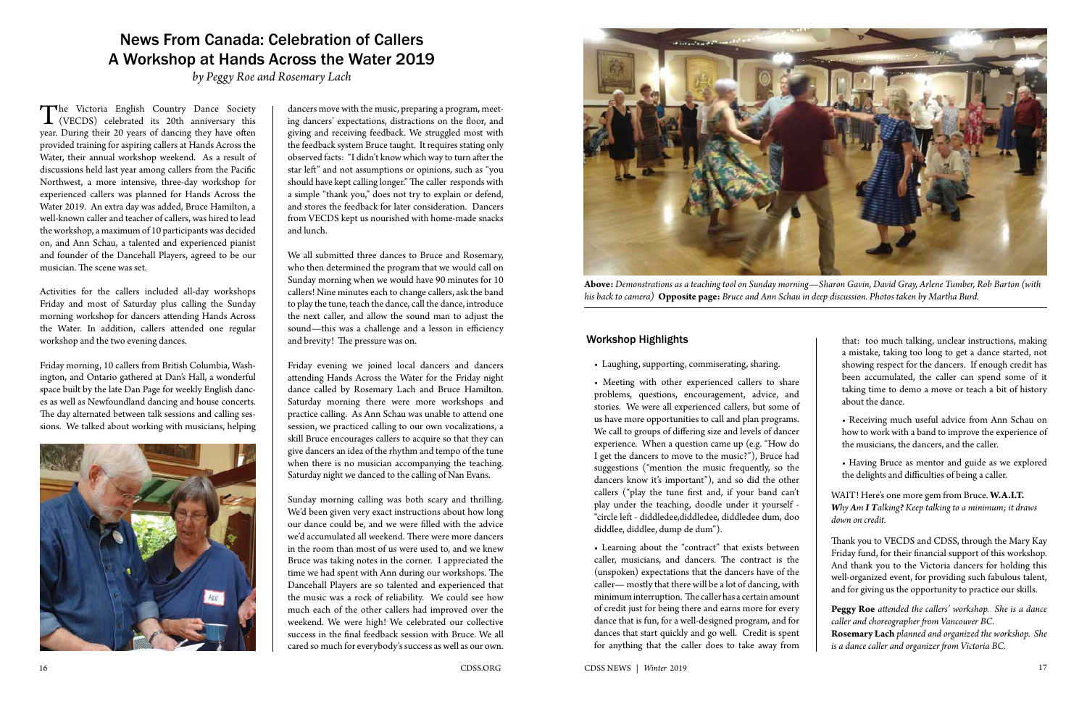## News From Canada: Celebration of Callers A Workshop at Hands Across the Water 2019

*by Peggy Roe and Rosemary Lach*

The Victoria English Country Dance Society (VECDS) celebrated its 20th anniversary this year. During their 20 years of dancing they have often provided training for aspiring callers at Hands Across the Water, their annual workshop weekend. As a result of discussions held last year among callers from the Pacific Northwest, a more intensive, three-day workshop for experienced callers was planned for Hands Across the Water 2019. An extra day was added, Bruce Hamilton, a well-known caller and teacher of callers, was hired to lead the workshop, a maximum of 10 participants was decided on, and Ann Schau, a talented and experienced pianist and founder of the Dancehall Players, agreed to be our musician. The scene was set.

Activities for the callers included all-day workshops Friday and most of Saturday plus calling the Sunday morning workshop for dancers attending Hands Across the Water. In addition, callers attended one regular workshop and the two evening dances.

Friday morning, 10 callers from British Columbia, Washington, and Ontario gathered at Dan's Hall, a wonderful space built by the late Dan Page for weekly English dances as well as Newfoundland dancing and house concerts. The day alternated between talk sessions and calling sessions. We talked about working with musicians, helping



dancers move with the music, preparing a program, meeting dancers' expectations, distractions on the floor, and giving and receiving feedback. We struggled most with the feedback system Bruce taught. It requires stating only observed facts: "I didn't know which way to turn after the star left" and not assumptions or opinions, such as "you should have kept calling longer." The caller responds with a simple "thank you," does not try to explain or defend, and stores the feedback for later consideration. Dancers from VECDS kept us nourished with home-made snacks and lunch.

We all submitted three dances to Bruce and Rosemary, who then determined the program that we would call on Sunday morning when we would have 90 minutes for 10 callers! Nine minutes each to change callers, ask the band to play the tune, teach the dance, call the dance, introduce the next caller, and allow the sound man to adjust the sound—this was a challenge and a lesson in efficiency and brevity! The pressure was on.

Friday evening we joined local dancers and dancers attending Hands Across the Water for the Friday night dance called by Rosemary Lach and Bruce Hamilton. Saturday morning there were more workshops and practice calling. As Ann Schau was unable to attend one session, we practiced calling to our own vocalizations, a skill Bruce encourages callers to acquire so that they can give dancers an idea of the rhythm and tempo of the tune when there is no musician accompanying the teaching. Saturday night we danced to the calling of Nan Evans.

Sunday morning calling was both scary and thrilling. We'd been given very exact instructions about how long our dance could be, and we were filled with the advice we'd accumulated all weekend. There were more dancers in the room than most of us were used to, and we knew Bruce was taking notes in the corner. I appreciated the time we had spent with Ann during our workshops. The Dancehall Players are so talented and experienced that the music was a rock of reliability. We could see how much each of the other callers had improved over the weekend. We were high! We celebrated our collective success in the final feedback session with Bruce. We all cared so much for everybody's success as well as our own.